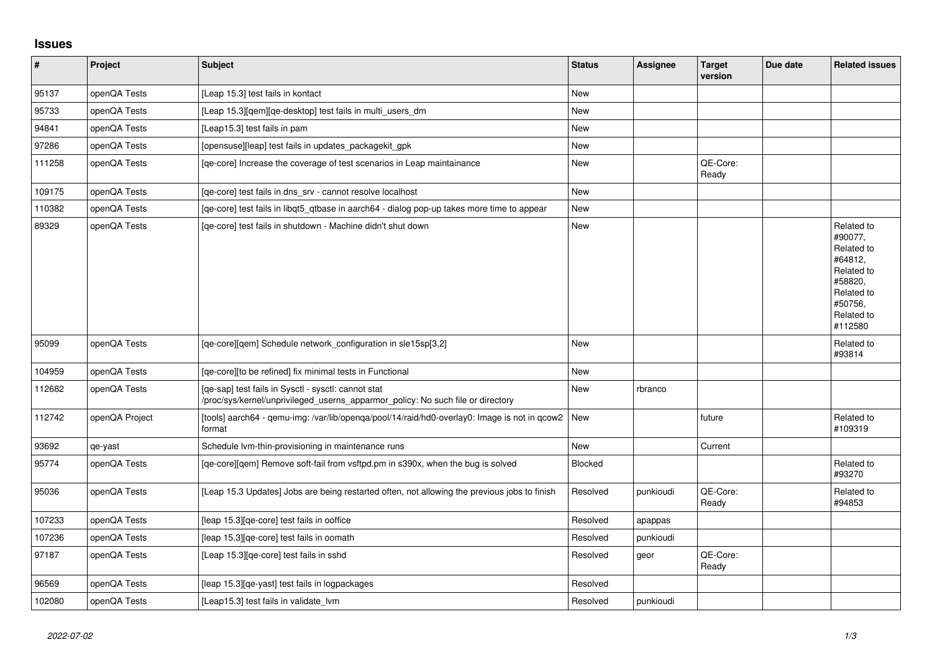## **Issues**

| $\sharp$ | Project        | <b>Subject</b>                                                                                                                         | <b>Status</b>  | <b>Assignee</b> | <b>Target</b><br>version | Due date | <b>Related issues</b>                                                                                                     |
|----------|----------------|----------------------------------------------------------------------------------------------------------------------------------------|----------------|-----------------|--------------------------|----------|---------------------------------------------------------------------------------------------------------------------------|
| 95137    | openQA Tests   | [Leap 15.3] test fails in kontact                                                                                                      | <b>New</b>     |                 |                          |          |                                                                                                                           |
| 95733    | openQA Tests   | [Leap 15.3][qem][qe-desktop] test fails in multi_users_dm                                                                              | New            |                 |                          |          |                                                                                                                           |
| 94841    | openQA Tests   | [Leap15.3] test fails in pam                                                                                                           | <b>New</b>     |                 |                          |          |                                                                                                                           |
| 97286    | openQA Tests   | [opensuse][leap] test fails in updates_packagekit_gpk                                                                                  | New            |                 |                          |          |                                                                                                                           |
| 111258   | openQA Tests   | [ge-core] Increase the coverage of test scenarios in Leap maintainance                                                                 | <b>New</b>     |                 | QE-Core:<br>Ready        |          |                                                                                                                           |
| 109175   | openQA Tests   | [qe-core] test fails in dns_srv - cannot resolve localhost                                                                             | <b>New</b>     |                 |                          |          |                                                                                                                           |
| 110382   | openQA Tests   | [qe-core] test fails in libqt5_qtbase in aarch64 - dialog pop-up takes more time to appear                                             | <b>New</b>     |                 |                          |          |                                                                                                                           |
| 89329    | openQA Tests   | [qe-core] test fails in shutdown - Machine didn't shut down                                                                            | <b>New</b>     |                 |                          |          | Related to<br>#90077,<br>Related to<br>#64812,<br>Related to<br>#58820,<br>Related to<br>#50756,<br>Related to<br>#112580 |
| 95099    | openQA Tests   | [qe-core][qem] Schedule network_configuration in sle15sp[3,2]                                                                          | <b>New</b>     |                 |                          |          | Related to<br>#93814                                                                                                      |
| 104959   | openQA Tests   | [qe-core][to be refined] fix minimal tests in Functional                                                                               | New            |                 |                          |          |                                                                                                                           |
| 112682   | openQA Tests   | [qe-sap] test fails in Sysctl - sysctl: cannot stat<br>/proc/sys/kernel/unprivileged_userns_apparmor_policy: No such file or directory | <b>New</b>     | rbranco         |                          |          |                                                                                                                           |
| 112742   | openQA Project | [tools] aarch64 - qemu-img: /var/lib/openqa/pool/14/raid/hd0-overlay0: Image is not in qcow2<br>format                                 | New            |                 | future                   |          | Related to<br>#109319                                                                                                     |
| 93692    | qe-yast        | Schedule Ivm-thin-provisioning in maintenance runs                                                                                     | <b>New</b>     |                 | Current                  |          |                                                                                                                           |
| 95774    | openQA Tests   | [qe-core][qem] Remove soft-fail from vsftpd.pm in s390x, when the bug is solved                                                        | <b>Blocked</b> |                 |                          |          | Related to<br>#93270                                                                                                      |
| 95036    | openQA Tests   | [Leap 15.3 Updates] Jobs are being restarted often, not allowing the previous jobs to finish                                           | Resolved       | punkioudi       | QE-Core:<br>Ready        |          | Related to<br>#94853                                                                                                      |
| 107233   | openQA Tests   | [leap 15.3][qe-core] test fails in ooffice                                                                                             | Resolved       | apappas         |                          |          |                                                                                                                           |
| 107236   | openQA Tests   | [leap 15.3][qe-core] test fails in oomath                                                                                              | Resolved       | punkioudi       |                          |          |                                                                                                                           |
| 97187    | openQA Tests   | [Leap 15.3][qe-core] test fails in sshd                                                                                                | Resolved       | geor            | QE-Core:<br>Ready        |          |                                                                                                                           |
| 96569    | openQA Tests   | [leap 15.3] [qe-yast] test fails in logpackages                                                                                        | Resolved       |                 |                          |          |                                                                                                                           |
| 102080   | openQA Tests   | [Leap15.3] test fails in validate lym                                                                                                  | Resolved       | punkioudi       |                          |          |                                                                                                                           |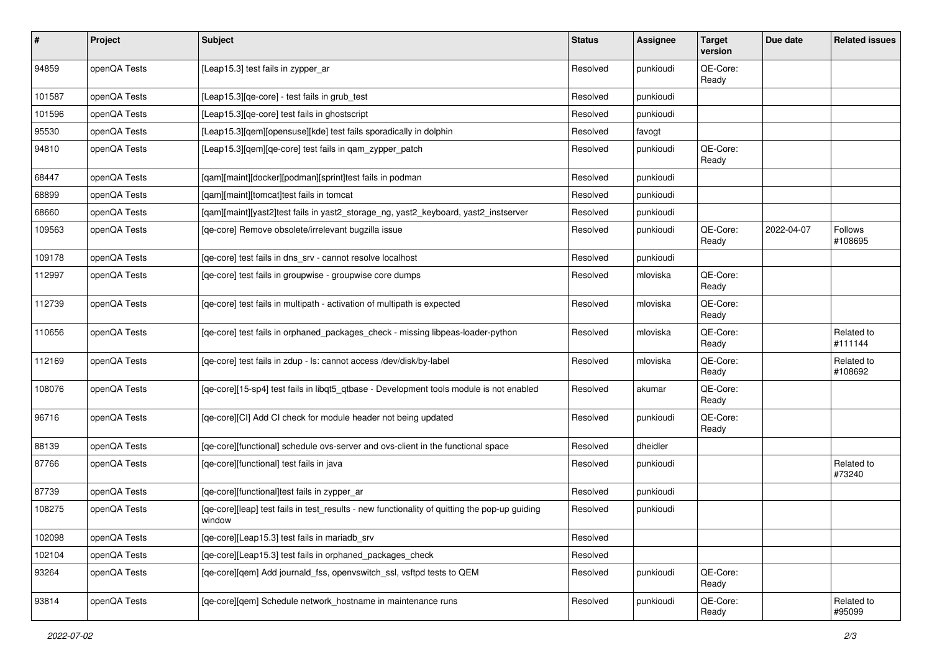| #      | Project      | Subject                                                                                                 | <b>Status</b> | <b>Assignee</b> | <b>Target</b><br>version | Due date   | <b>Related issues</b> |
|--------|--------------|---------------------------------------------------------------------------------------------------------|---------------|-----------------|--------------------------|------------|-----------------------|
| 94859  | openQA Tests | [Leap15.3] test fails in zypper_ar                                                                      | Resolved      | punkioudi       | QE-Core:<br>Ready        |            |                       |
| 101587 | openQA Tests | [Leap15.3][qe-core] - test fails in grub_test                                                           | Resolved      | punkioudi       |                          |            |                       |
| 101596 | openQA Tests | [Leap15.3][qe-core] test fails in ghostscript                                                           | Resolved      | punkioudi       |                          |            |                       |
| 95530  | openQA Tests | [Leap15.3][qem][opensuse][kde] test fails sporadically in dolphin                                       | Resolved      | favogt          |                          |            |                       |
| 94810  | openQA Tests | [Leap15.3][qem][qe-core] test fails in qam_zypper_patch                                                 | Resolved      | punkioudi       | QE-Core:<br>Ready        |            |                       |
| 68447  | openQA Tests | [qam][maint][docker][podman][sprint]test fails in podman                                                | Resolved      | punkioudi       |                          |            |                       |
| 68899  | openQA Tests | [qam][maint][tomcat]test fails in tomcat                                                                | Resolved      | punkioudi       |                          |            |                       |
| 68660  | openQA Tests | [qam][maint][yast2]test fails in yast2_storage_ng, yast2_keyboard, yast2_instserver                     | Resolved      | punkioudi       |                          |            |                       |
| 109563 | openQA Tests | [qe-core] Remove obsolete/irrelevant bugzilla issue                                                     | Resolved      | punkioudi       | QE-Core:<br>Ready        | 2022-04-07 | Follows<br>#108695    |
| 109178 | openQA Tests | [qe-core] test fails in dns_srv - cannot resolve localhost                                              | Resolved      | punkioudi       |                          |            |                       |
| 112997 | openQA Tests | [qe-core] test fails in groupwise - groupwise core dumps                                                | Resolved      | mloviska        | QE-Core:<br>Ready        |            |                       |
| 112739 | openQA Tests | [qe-core] test fails in multipath - activation of multipath is expected                                 | Resolved      | mloviska        | QE-Core:<br>Ready        |            |                       |
| 110656 | openQA Tests | [qe-core] test fails in orphaned_packages_check - missing libpeas-loader-python                         | Resolved      | mloviska        | QE-Core:<br>Ready        |            | Related to<br>#111144 |
| 112169 | openQA Tests | [qe-core] test fails in zdup - ls: cannot access /dev/disk/by-label                                     | Resolved      | mloviska        | QE-Core:<br>Ready        |            | Related to<br>#108692 |
| 108076 | openQA Tests | [qe-core][15-sp4] test fails in libqt5_qtbase - Development tools module is not enabled                 | Resolved      | akumar          | QE-Core:<br>Ready        |            |                       |
| 96716  | openQA Tests | [qe-core][CI] Add CI check for module header not being updated                                          | Resolved      | punkioudi       | QE-Core:<br>Ready        |            |                       |
| 88139  | openQA Tests | [qe-core][functional] schedule ovs-server and ovs-client in the functional space                        | Resolved      | dheidler        |                          |            |                       |
| 87766  | openQA Tests | [qe-core][functional] test fails in java                                                                | Resolved      | punkioudi       |                          |            | Related to<br>#73240  |
| 87739  | openQA Tests | [qe-core][functional]test fails in zypper_ar                                                            | Resolved      | punkioudi       |                          |            |                       |
| 108275 | openQA Tests | [qe-core][leap] test fails in test_results - new functionality of quitting the pop-up guiding<br>window | Resolved      | punkioudi       |                          |            |                       |
| 102098 | openQA Tests | [qe-core][Leap15.3] test fails in mariadb_srv                                                           | Resolved      |                 |                          |            |                       |
| 102104 | openQA Tests | [qe-core][Leap15.3] test fails in orphaned_packages_check                                               | Resolved      |                 |                          |            |                       |
| 93264  | openQA Tests | [qe-core][qem] Add journald_fss, openvswitch_ssl, vsftpd tests to QEM                                   | Resolved      | punkioudi       | QE-Core:<br>Ready        |            |                       |
| 93814  | openQA Tests | [qe-core][qem] Schedule network_hostname in maintenance runs                                            | Resolved      | punkioudi       | QE-Core:<br>Ready        |            | Related to<br>#95099  |